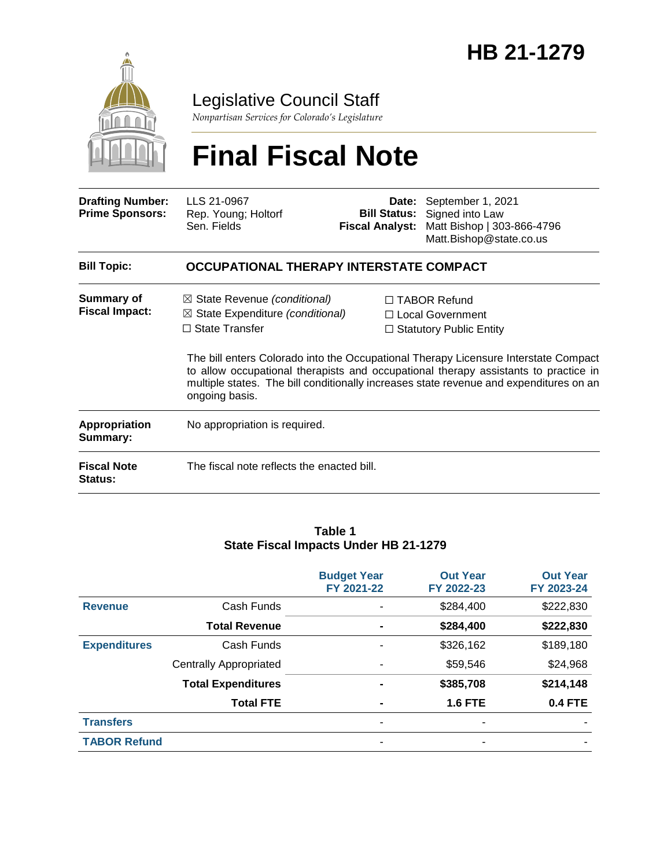

Legislative Council Staff

*Nonpartisan Services for Colorado's Legislature*

# **Final Fiscal Note**

| <b>Drafting Number:</b><br><b>Prime Sponsors:</b> | LLS 21-0967<br>Rep. Young; Holtorf<br>Sen. Fields                                                                                 | Date:<br><b>Bill Status:</b><br><b>Fiscal Analyst:</b> | September 1, 2021<br>Signed into Law<br>Matt Bishop   303-866-4796<br>Matt.Bishop@state.co.us                                                                                                                                                                                                                                                       |  |
|---------------------------------------------------|-----------------------------------------------------------------------------------------------------------------------------------|--------------------------------------------------------|-----------------------------------------------------------------------------------------------------------------------------------------------------------------------------------------------------------------------------------------------------------------------------------------------------------------------------------------------------|--|
| <b>Bill Topic:</b>                                | OCCUPATIONAL THERAPY INTERSTATE COMPACT                                                                                           |                                                        |                                                                                                                                                                                                                                                                                                                                                     |  |
| <b>Summary of</b><br><b>Fiscal Impact:</b>        | $\boxtimes$ State Revenue (conditional)<br>$\boxtimes$ State Expenditure (conditional)<br>$\Box$ State Transfer<br>ongoing basis. |                                                        | $\Box$ TABOR Refund<br>□ Local Government<br>$\Box$ Statutory Public Entity<br>The bill enters Colorado into the Occupational Therapy Licensure Interstate Compact<br>to allow occupational therapists and occupational therapy assistants to practice in<br>multiple states. The bill conditionally increases state revenue and expenditures on an |  |
| <b>Appropriation</b><br>Summary:                  | No appropriation is required.                                                                                                     |                                                        |                                                                                                                                                                                                                                                                                                                                                     |  |
| <b>Fiscal Note</b><br><b>Status:</b>              | The fiscal note reflects the enacted bill.                                                                                        |                                                        |                                                                                                                                                                                                                                                                                                                                                     |  |

#### **Table 1 State Fiscal Impacts Under HB 21-1279**

|                     |                               | <b>Budget Year</b><br>FY 2021-22 | <b>Out Year</b><br>FY 2022-23 | <b>Out Year</b><br>FY 2023-24 |
|---------------------|-------------------------------|----------------------------------|-------------------------------|-------------------------------|
| <b>Revenue</b>      | Cash Funds                    |                                  | \$284,400                     | \$222,830                     |
|                     | <b>Total Revenue</b>          |                                  | \$284,400                     | \$222,830                     |
| <b>Expenditures</b> | Cash Funds                    |                                  | \$326,162                     | \$189,180                     |
|                     | <b>Centrally Appropriated</b> |                                  | \$59,546                      | \$24,968                      |
|                     | <b>Total Expenditures</b>     |                                  | \$385,708                     | \$214,148                     |
|                     | <b>Total FTE</b>              |                                  | <b>1.6 FTE</b>                | <b>0.4 FTE</b>                |
| <b>Transfers</b>    |                               |                                  | ۰                             |                               |
| <b>TABOR Refund</b> |                               |                                  | ۰                             |                               |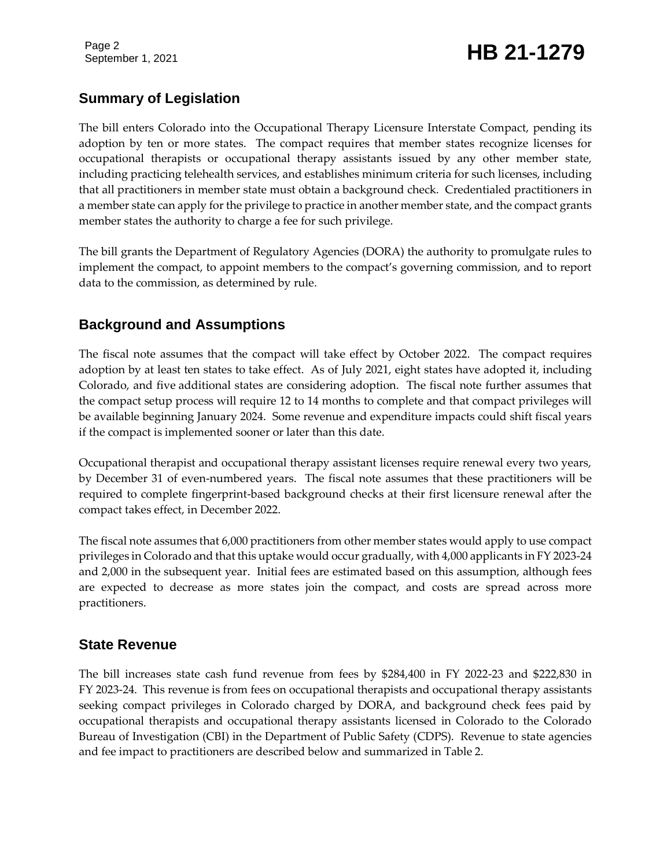Page 2

## Page 2<br>September 1, 2021 **HB 21-1279**

### **Summary of Legislation**

The bill enters Colorado into the Occupational Therapy Licensure Interstate Compact, pending its adoption by ten or more states. The compact requires that member states recognize licenses for occupational therapists or occupational therapy assistants issued by any other member state, including practicing telehealth services, and establishes minimum criteria for such licenses, including that all practitioners in member state must obtain a background check. Credentialed practitioners in a member state can apply for the privilege to practice in another member state, and the compact grants member states the authority to charge a fee for such privilege.

The bill grants the Department of Regulatory Agencies (DORA) the authority to promulgate rules to implement the compact, to appoint members to the compact's governing commission, and to report data to the commission, as determined by rule.

### **Background and Assumptions**

The fiscal note assumes that the compact will take effect by October 2022. The compact requires adoption by at least ten states to take effect. As of July 2021, eight states have adopted it, including Colorado, and five additional states are considering adoption. The fiscal note further assumes that the compact setup process will require 12 to 14 months to complete and that compact privileges will be available beginning January 2024. Some revenue and expenditure impacts could shift fiscal years if the compact is implemented sooner or later than this date.

Occupational therapist and occupational therapy assistant licenses require renewal every two years, by December 31 of even-numbered years. The fiscal note assumes that these practitioners will be required to complete fingerprint-based background checks at their first licensure renewal after the compact takes effect, in December 2022.

The fiscal note assumes that 6,000 practitioners from other member states would apply to use compact privileges in Colorado and that this uptake would occur gradually, with 4,000 applicants in FY 2023-24 and 2,000 in the subsequent year. Initial fees are estimated based on this assumption, although fees are expected to decrease as more states join the compact, and costs are spread across more practitioners.

#### **State Revenue**

The bill increases state cash fund revenue from fees by \$284,400 in FY 2022-23 and \$222,830 in FY 2023-24. This revenue is from fees on occupational therapists and occupational therapy assistants seeking compact privileges in Colorado charged by DORA, and background check fees paid by occupational therapists and occupational therapy assistants licensed in Colorado to the Colorado Bureau of Investigation (CBI) in the Department of Public Safety (CDPS). Revenue to state agencies and fee impact to practitioners are described below and summarized in Table 2.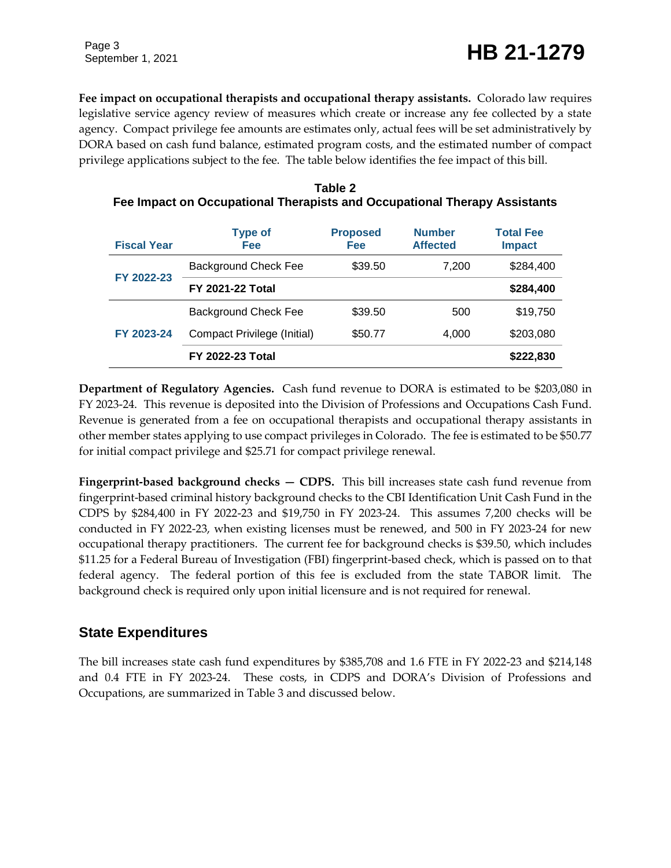Page 3

**Fee impact on occupational therapists and occupational therapy assistants.** Colorado law requires legislative service agency review of measures which create or increase any fee collected by a state agency. Compact privilege fee amounts are estimates only, actual fees will be set administratively by DORA based on cash fund balance, estimated program costs, and the estimated number of compact privilege applications subject to the fee. The table below identifies the fee impact of this bill.

| <b>Fiscal Year</b> | <b>Type of</b><br>Fee       | <b>Proposed</b><br><b>Fee</b> | <b>Number</b><br><b>Affected</b> | <b>Total Fee</b><br><b>Impact</b> |
|--------------------|-----------------------------|-------------------------------|----------------------------------|-----------------------------------|
| FY 2022-23         | <b>Background Check Fee</b> | \$39.50                       | 7.200                            | \$284,400                         |
|                    | <b>FY 2021-22 Total</b>     |                               |                                  | \$284,400                         |
| FY 2023-24         | <b>Background Check Fee</b> | \$39.50                       | 500                              | \$19,750                          |
|                    | Compact Privilege (Initial) | \$50.77                       | 4,000                            | \$203,080                         |
|                    | <b>FY 2022-23 Total</b>     |                               |                                  | \$222,830                         |

**Table 2 Fee Impact on Occupational Therapists and Occupational Therapy Assistants**

**Department of Regulatory Agencies.** Cash fund revenue to DORA is estimated to be \$203,080 in FY 2023-24. This revenue is deposited into the Division of Professions and Occupations Cash Fund. Revenue is generated from a fee on occupational therapists and occupational therapy assistants in other member states applying to use compact privileges in Colorado. The fee is estimated to be \$50.77 for initial compact privilege and \$25.71 for compact privilege renewal.

**Fingerprint-based background checks — CDPS.** This bill increases state cash fund revenue from fingerprint-based criminal history background checks to the CBI Identification Unit Cash Fund in the CDPS by \$284,400 in FY 2022-23 and \$19,750 in FY 2023-24. This assumes 7,200 checks will be conducted in FY 2022-23, when existing licenses must be renewed, and 500 in FY 2023-24 for new occupational therapy practitioners. The current fee for background checks is \$39.50, which includes \$11.25 for a Federal Bureau of Investigation (FBI) fingerprint-based check, which is passed on to that federal agency. The federal portion of this fee is excluded from the state TABOR limit. The background check is required only upon initial licensure and is not required for renewal.

### **State Expenditures**

The bill increases state cash fund expenditures by \$385,708 and 1.6 FTE in FY 2022-23 and \$214,148 and 0.4 FTE in FY 2023-24. These costs, in CDPS and DORA's Division of Professions and Occupations, are summarized in Table 3 and discussed below.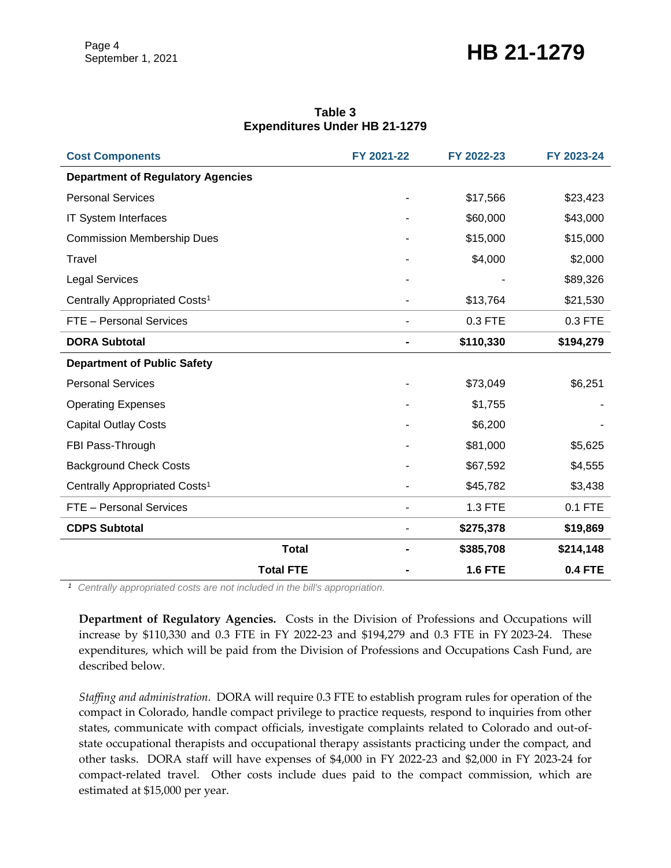### September 1, 2021 **HB 21-1279**

#### **Table 3 Expenditures Under HB 21-1279**

| <b>Cost Components</b>                    | FY 2021-22 | FY 2022-23     | FY 2023-24     |
|-------------------------------------------|------------|----------------|----------------|
| <b>Department of Regulatory Agencies</b>  |            |                |                |
| <b>Personal Services</b>                  |            | \$17,566       | \$23,423       |
| IT System Interfaces                      |            | \$60,000       | \$43,000       |
| <b>Commission Membership Dues</b>         |            | \$15,000       | \$15,000       |
| Travel                                    |            | \$4,000        | \$2,000        |
| <b>Legal Services</b>                     |            |                | \$89,326       |
| Centrally Appropriated Costs <sup>1</sup> |            | \$13,764       | \$21,530       |
| FTE - Personal Services                   |            | 0.3 FTE        | 0.3 FTE        |
| <b>DORA Subtotal</b>                      | ۰          | \$110,330      | \$194,279      |
| <b>Department of Public Safety</b>        |            |                |                |
| <b>Personal Services</b>                  |            | \$73,049       | \$6,251        |
| <b>Operating Expenses</b>                 |            | \$1,755        |                |
| <b>Capital Outlay Costs</b>               |            | \$6,200        |                |
| FBI Pass-Through                          |            | \$81,000       | \$5,625        |
| <b>Background Check Costs</b>             |            | \$67,592       | \$4,555        |
| Centrally Appropriated Costs <sup>1</sup> |            | \$45,782       | \$3,438        |
| FTE - Personal Services                   |            | 1.3 FTE        | 0.1 FTE        |
| <b>CDPS Subtotal</b>                      | ۰          | \$275,378      | \$19,869       |
| <b>Total</b>                              |            | \$385,708      | \$214,148      |
| <b>Total FTE</b>                          |            | <b>1.6 FTE</b> | <b>0.4 FTE</b> |

*<sup>1</sup> Centrally appropriated costs are not included in the bill's appropriation.*

**Department of Regulatory Agencies.** Costs in the Division of Professions and Occupations will increase by \$110,330 and 0.3 FTE in FY 2022-23 and \$194,279 and 0.3 FTE in FY 2023-24. These expenditures, which will be paid from the Division of Professions and Occupations Cash Fund, are described below.

*Staffing and administration.* DORA will require 0.3 FTE to establish program rules for operation of the compact in Colorado, handle compact privilege to practice requests, respond to inquiries from other states, communicate with compact officials, investigate complaints related to Colorado and out-ofstate occupational therapists and occupational therapy assistants practicing under the compact, and other tasks. DORA staff will have expenses of \$4,000 in FY 2022-23 and \$2,000 in FY 2023-24 for compact-related travel. Other costs include dues paid to the compact commission, which are estimated at \$15,000 per year.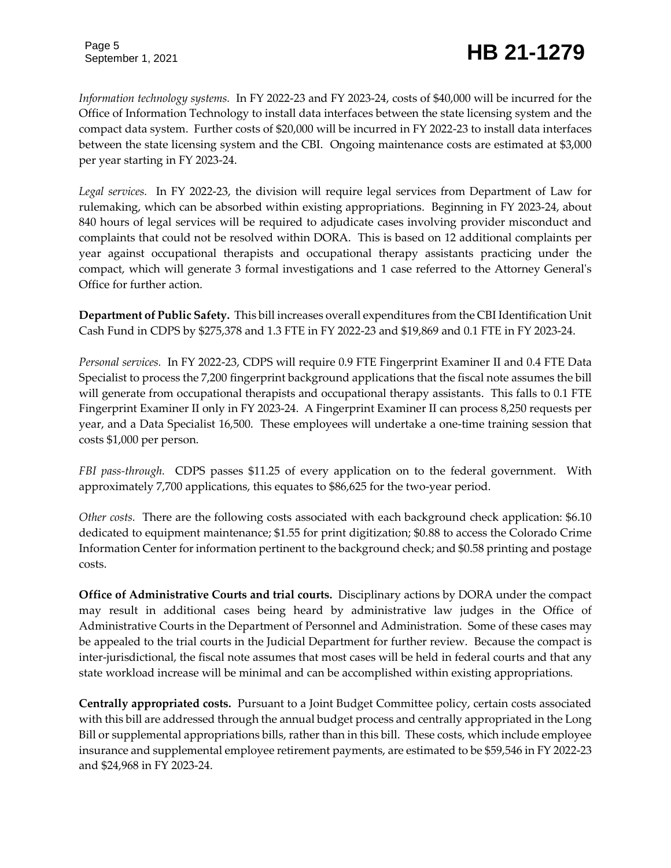*Information technology systems.* In FY 2022-23 and FY 2023-24, costs of \$40,000 will be incurred for the Office of Information Technology to install data interfaces between the state licensing system and the compact data system. Further costs of \$20,000 will be incurred in FY 2022-23 to install data interfaces between the state licensing system and the CBI. Ongoing maintenance costs are estimated at \$3,000 per year starting in FY 2023-24.

*Legal services.* In FY 2022-23, the division will require legal services from Department of Law for rulemaking, which can be absorbed within existing appropriations. Beginning in FY 2023-24, about 840 hours of legal services will be required to adjudicate cases involving provider misconduct and complaints that could not be resolved within DORA. This is based on 12 additional complaints per year against occupational therapists and occupational therapy assistants practicing under the compact, which will generate 3 formal investigations and 1 case referred to the Attorney General's Office for further action.

**Department of Public Safety.** This bill increases overall expenditures from the CBI Identification Unit Cash Fund in CDPS by \$275,378 and 1.3 FTE in FY 2022-23 and \$19,869 and 0.1 FTE in FY 2023-24.

*Personal services.* In FY 2022-23, CDPS will require 0.9 FTE Fingerprint Examiner II and 0.4 FTE Data Specialist to process the 7,200 fingerprint background applications that the fiscal note assumes the bill will generate from occupational therapists and occupational therapy assistants. This falls to 0.1 FTE Fingerprint Examiner II only in FY 2023-24. A Fingerprint Examiner II can process 8,250 requests per year, and a Data Specialist 16,500. These employees will undertake a one-time training session that costs \$1,000 per person.

*FBI pass-through.* CDPS passes \$11.25 of every application on to the federal government. With approximately 7,700 applications, this equates to \$86,625 for the two-year period.

*Other costs.* There are the following costs associated with each background check application: \$6.10 dedicated to equipment maintenance; \$1.55 for print digitization; \$0.88 to access the Colorado Crime Information Center for information pertinent to the background check; and \$0.58 printing and postage costs.

**Office of Administrative Courts and trial courts.** Disciplinary actions by DORA under the compact may result in additional cases being heard by administrative law judges in the Office of Administrative Courts in the Department of Personnel and Administration. Some of these cases may be appealed to the trial courts in the Judicial Department for further review. Because the compact is inter-jurisdictional, the fiscal note assumes that most cases will be held in federal courts and that any state workload increase will be minimal and can be accomplished within existing appropriations.

**Centrally appropriated costs.** Pursuant to a Joint Budget Committee policy, certain costs associated with this bill are addressed through the annual budget process and centrally appropriated in the Long Bill or supplemental appropriations bills, rather than in this bill. These costs, which include employee insurance and supplemental employee retirement payments, are estimated to be \$59,546 in FY 2022-23 and \$24,968 in FY 2023-24.